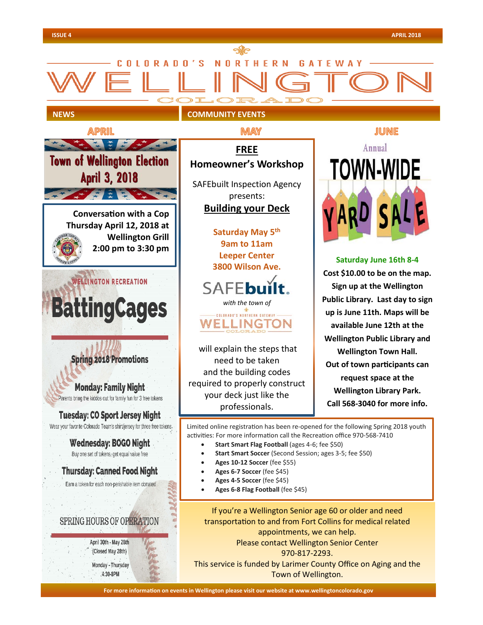